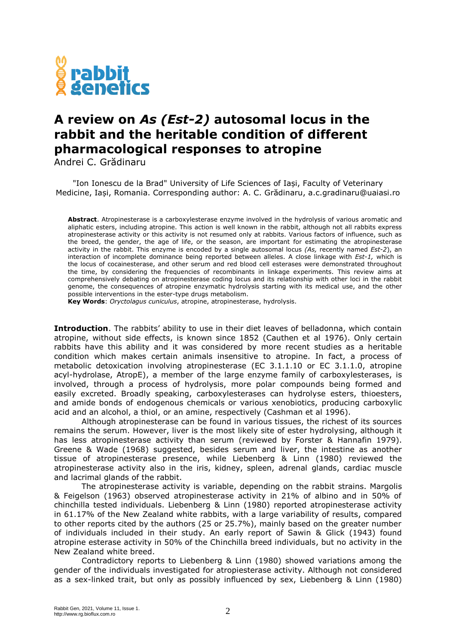

## **A review on** *As (Est-2)* **autosomal locus in the rabbit and the heritable condition of different pharmacological responses to atropine**

Andrei C. Grădinaru

"Ion Ionescu de la Brad" University of Life Sciences of Iași, Faculty of Veterinary Medicine, Iași, Romania. Corresponding author: A. C. Grădinaru, a.c.gradinaru@uaiasi.ro

**Abstract**. Atropinesterase is a carboxylesterase enzyme involved in the hydrolysis of various aromatic and aliphatic esters, including atropine. This action is well known in the rabbit, although not all rabbits express atropinesterase activity or this activity is not resumed only at rabbits. Various factors of influence, such as the breed, the gender, the age of life, or the season, are important for estimating the atropinesterase activity in the rabbit. This enzyme is encoded by a single autosomal locus *(As,* recently named *Est-2*), an interaction of incomplete dominance being reported between alleles. A close linkage with *Est-1,* which is the locus of cocainesterase, and other serum and red blood cell esterases were demonstrated throughout the time, by considering the frequencies of recombinants in linkage experiments. This review aims at comprehensively debating on atropinesterase coding locus and its relationship with other loci in the rabbit genome, the consequences of atropine enzymatic hydrolysis starting with its medical use, and the other possible interventions in the ester-type drugs metabolism.

**Key Words**: *Oryctolagus cuniculus*, atropine, atropinesterase, hydrolysis.

**Introduction**. The rabbits' ability to use in their diet leaves of belladonna, which contain atropine, without side effects, is known since 1852 (Cauthen et al 1976). Only certain rabbits have this ability and it was considered by more recent studies as a heritable condition which makes certain animals insensitive to atropine. In fact, a process of metabolic detoxication involving atropinesterase (EC 3.1.1.10 or EC 3.1.1.0, atropine acyl-hydrolase, AtropE), a member of the large enzyme family of carboxylesterases, is involved, through a process of hydrolysis, more polar compounds being formed and easily excreted. Broadly speaking, carboxylesterases can hydrolyse esters, thioesters, and amide bonds of endogenous chemicals or various xenobiotics, producing carboxylic acid and an alcohol, a thiol, or an amine, respectively (Cashman et al 1996).

Although atropinesterase can be found in various tissues, the richest of its sources remains the serum. However, liver is the most likely site of ester hydrolysing, although it has less atropinesterase activity than serum (reviewed by Forster & Hannafin 1979). Greene & Wade (1968) suggested, besides serum and liver, the intestine as another tissue of atropinesterase presence, while Liebenberg & Linn (1980) reviewed the atropinesterase activity also in the iris, kidney, spleen, adrenal glands, cardiac muscle and lacrimal glands of the rabbit.

The atropinesterase activity is variable, depending on the rabbit strains. Margolis & Feigelson (1963) observed atropinesterase activity in 21% of albino and in 50% of chinchilla tested individuals. Liebenberg & Linn (1980) reported atropinesterase activity in 61.17% of the New Zealand white rabbits, with a large variability of results, compared to other reports cited by the authors (25 or 25.7%), mainly based on the greater number of individuals included in their study. An early report of Sawin & Glick (1943) found atropine esterase activity in 50% of the Chinchilla breed individuals, but no activity in the New Zealand white breed.

Contradictory reports to Liebenberg & Linn (1980) showed variations among the gender of the individuals investigated for atropiesterase activity. Although not considered as a sex-linked trait, but only as possibly influenced by sex, Liebenberg & Linn (1980)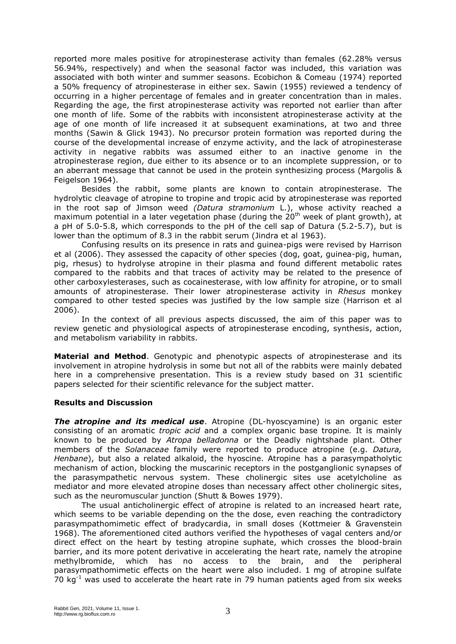reported more males positive for atropinesterase activity than females (62.28% versus 56.94%, respectively) and when the seasonal factor was included, this variation was associated with both winter and summer seasons. Ecobichon & Comeau (1974) reported a 50% frequency of atropinesterase in either sex. Sawin (1955) reviewed a tendency of occurring in a higher percentage of females and in greater concentration than in males. Regarding the age, the first atropinesterase activity was reported not earlier than after one month of life. Some of the rabbits with inconsistent atropinesterase activity at the age of one month of life increased it at subsequent examinations, at two and three months (Sawin & Glick 1943). No precursor protein formation was reported during the course of the developmental increase of enzyme activity, and the lack of atropinesterase activity in negative rabbits was assumed either to an inactive genome in the atropinesterase region, due either to its absence or to an incomplete suppression, or to an aberrant message that cannot be used in the protein synthesizing process (Margolis & Feigelson 1964).

Besides the rabbit, some plants are known to contain atropinesterase. The hydrolytic cleavage of atropine to tropine and tropic acid by atropinesterase was reported in the root sap of Jimson weed *(Datura stramonium* L.), whose activity reached a maximum potential in a later vegetation phase (during the  $20<sup>th</sup>$  week of plant growth), at a pH of 5.0-5.8, which corresponds to the pH of the cell sap of Datura (5.2-5.7), but is lower than the optimum of 8.3 in the rabbit serum (Jindra et al 1963).

Confusing results on its presence in rats and guinea-pigs were revised by Harrison et al (2006). They assessed the capacity of other species (dog, goat, guinea-pig, human, pig, rhesus) to hydrolyse atropine in their plasma and found different metabolic rates compared to the rabbits and that traces of activity may be related to the presence of other carboxylesterases, such as cocainesterase, with low affinity for atropine, or to small amounts of atropinesterase. Their lower atropinesterase activity in *Rhesus* monkey compared to other tested species was justified by the low sample size (Harrison et al 2006).

In the context of all previous aspects discussed, the aim of this paper was to review genetic and physiological aspects of atropinesterase encoding, synthesis, action, and metabolism variability in rabbits.

**Material and Method**. Genotypic and phenotypic aspects of atropinesterase and its involvement in atropine hydrolysis in some but not all of the rabbits were mainly debated here in a comprehensive presentation. This is a review study based on 31 scientific papers selected for their scientific relevance for the subject matter.

## **Results and Discussion**

**The atropine and its medical use**. Atropine (DL-hyoscyamine) is an organic ester consisting of an aromatic *tropic acid* and a complex organic base tropine*.* It is mainly known to be produced by *Atropa belladonna* or the Deadly nightshade plant. Other members of the *Solanaceae* family were reported to produce atropine (e.g. *Datura, Henbane*), but also a related alkaloid, the hyoscine. Atropine has a parasympatholytic mechanism of action, blocking the muscarinic receptors in the postganglionic synapses of the parasympathetic nervous system. These cholinergic sites use acetylcholine as mediator and more elevated atropine doses than necessary affect other cholinergic sites, such as the neuromuscular junction (Shutt & Bowes 1979).

The usual anticholinergic effect of atropine is related to an increased heart rate, which seems to be variable depending on the the dose, even reaching the contradictory parasympathomimetic effect of bradycardia, in small doses (Kottmeier & Gravenstein 1968). The aforementioned cited authors verified the hypotheses of vagal centers and/or direct effect on the heart by testing atropine suphate, which crosses the blood-brain barrier, and its more potent derivative in accelerating the heart rate, namely the atropine methylbromide, which has no access to the brain, and the peripheral parasympathomimetic effects on the heart were also included. 1 mg of atropine sulfate 70  $kg^{-1}$  was used to accelerate the heart rate in 79 human patients aged from six weeks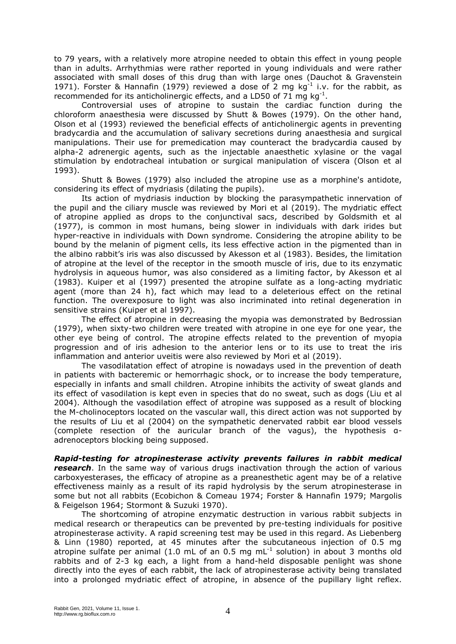to 79 years, with a relatively more atropine needed to obtain this effect in young people than in adults. Arrhythmias were rather reported in young individuals and were rather associated with small doses of this drug than with large ones (Dauchot & Gravenstein 1971). Forster & Hannafin (1979) reviewed a dose of 2 mg  $kg^{-1}$  i.v. for the rabbit, as recommended for its anticholinergic effects, and a LD50 of 71 mg  $kg^{-1}$ .

Controversial uses of atropine to sustain the cardiac function during the chloroform anaesthesia were discussed by Shutt & Bowes (1979). On the other hand, Olson et al (1993) reviewed the beneficial effects of anticholinergic agents in preventing bradycardia and the accumulation of salivary secretions during anaesthesia and surgical manipulations. Their use for premedication may counteract the bradycardia caused by alpha-2 adrenergic agents, such as the injectable anaesthetic xylasine or the vagal stimulation by endotracheal intubation or surgical manipulation of viscera (Olson et al 1993).

Shutt & Bowes (1979) also included the atropine use as a morphine's antidote, considering its effect of mydriasis (dilating the pupils).

Its action of mydriasis induction by blocking the parasympathetic innervation of the pupil and the ciliary muscle was reviewed by Mori et al (2019). The mydriatic effect of atropine applied as drops to the conjunctival sacs, described by Goldsmith et al (1977), is common in most humans, being slower in individuals with dark irides but hyper-reactive in individuals with Down syndrome. Considering the atropine ability to be bound by the melanin of pigment cells, its less effective action in the pigmented than in the albino rabbit's iris was also discussed by Akesson et al (1983). Besides, the limitation of atropine at the level of the receptor in the smooth muscle of iris, due to its enzymatic hydrolysis in aqueous humor, was also considered as a limiting factor, by Akesson et al (1983). Kuiper et al (1997) presented the atropine sulfate as a long-acting mydriatic agent (more than 24 h), fact which may lead to a deleterious effect on the retinal function. The overexposure to light was also incriminated into retinal degeneration in sensitive strains (Kuiper et al 1997).

The effect of atropine in decreasing the myopia was demonstrated by Bedrossian (1979), when sixty-two children were treated with atropine in one eye for one year, the other eye being of control. The atropine effects related to the prevention of myopia progression and of iris adhesion to the anterior lens or to its use to treat the iris inflammation and anterior uveitis were also reviewed by Mori et al (2019).

The vasodilatation effect of atropine is nowadays used in the prevention of death in patients with bacteremic or hemorrhagic shock, or to increase the body temperature, especially in infants and small children. Atropine inhibits the activity of sweat glands and its effect of vasodilation is kept even in species that do no sweat, such as dogs (Liu et al 2004). Although the vasodilation effect of atropine was supposed as a result of blocking the M-cholinoceptors located on the vascular wall, this direct action was not supported by the results of Liu et al (2004) on the sympathetic denervated rabbit ear blood vessels (complete resection of the auricular branch of the vagus), the hypothesis αadrenoceptors blocking being supposed.

*Rapid-testing for atropinesterase activity prevents failures in rabbit medical research*. In the same way of various drugs inactivation through the action of various carboxyesterases, the efficacy of atropine as a preanesthetic agent may be of a relative effectiveness mainly as a result of its rapid hydrolysis by the serum atropinesterase in some but not all rabbits (Ecobichon & Comeau 1974; Forster & Hannafin 1979; Margolis & Feigelson 1964; Stormont & Suzuki 1970).

The shortcoming of atropine enzymatic destruction in various rabbit subjects in medical research or therapeutics can be prevented by pre-testing individuals for positive atropinesterase activity. A rapid screening test may be used in this regard. As Liebenberg & Linn (1980) reported, at 45 minutes after the subcutaneous injection of 0.5 mg atropine sulfate per animal (1.0 mL of an 0.5 mg mL $^{-1}$  solution) in about 3 months old rabbits and of 2-3 kg each, a light from a hand-held disposable penlight was shone directly into the eyes of each rabbit, the lack of atropinesterase activity being translated into a prolonged mydriatic effect of atropine, in absence of the pupillary light reflex.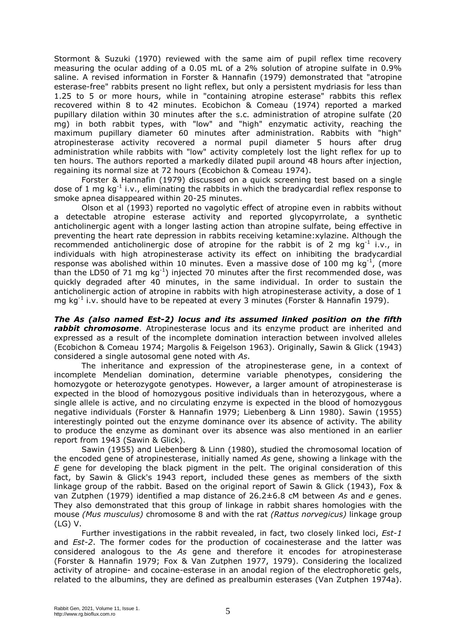Stormont & Suzuki (1970) reviewed with the same aim of pupil reflex time recovery measuring the ocular adding of a 0.05 mL of a 2% solution of atropine sulfate in 0.9% saline. A revised information in Forster & Hannafin (1979) demonstrated that "atropine esterase-free" rabbits present no light reflex, but only a persistent mydriasis for less than 1.25 to 5 or more hours, while in "containing atropine esterase" rabbits this reflex recovered within 8 to 42 minutes. Ecobichon & Comeau (1974) reported a marked pupillary dilation within 30 minutes after the s.c. administration of atropine sulfate (20 mg) in both rabbit types, with "low" and "high" enzymatic activity, reaching the maximum pupillary diameter 60 minutes after administration. Rabbits with "high" atropinesterase activity recovered a normal pupil diameter 5 hours after drug administration while rabbits with "low" activity completely lost the light reflex for up to ten hours. The authors reported a markedly dilated pupil around 48 hours after injection, regaining its normal size at 72 hours (Ecobichon & Comeau 1974).

Forster & Hannafin (1979) discussed on a quick screening test based on a single dose of 1 mg  $kg^{-1}$  i.v., eliminating the rabbits in which the bradycardial reflex response to smoke apnea disappeared within 20-25 minutes.

Olson et al (1993) reported no vagolytic effect of atropine even in rabbits without a detectable atropine esterase activity and reported glycopyrrolate, a synthetic anticholinergic agent with a longer lasting action than atropine sulfate, being effective in preventing the heart rate depression in rabbits receiving ketamine:xylazine. Although the recommended anticholinergic dose of atropine for the rabbit is of 2 mg  $kg^{-1}$  i.v., in individuals with high atropinesterase activity its effect on inhibiting the bradycardial response was abolished within 10 minutes. Even a massive dose of 100 mg  $kg^{-1}$ , (more than the LD50 of 71 mg  $kg^{-1}$ ) injected 70 minutes after the first recommended dose, was quickly degraded after 40 minutes, in the same individual. In order to sustain the anticholinergic action of atropine in rabbits with high atropinesterase activity, a dose of 1 mg kg<sup>-1</sup> i.v. should have to be repeated at every 3 minutes (Forster & Hannafin 1979).

*The As (also named Est-2) locus and its assumed linked position on the fifth rabbit chromosome*. Atropinesterase locus and its enzyme product are inherited and expressed as a result of the incomplete domination interaction between involved alleles (Ecobichon & Comeau 1974; Margolis & Feigelson 1963). Originally, Sawin & Glick (1943) considered a single autosomal gene noted with *As*.

The inheritance and expression of the atropinesterase gene, in a context of incomplete Mendelian domination, determine variable phenotypes, considering the homozygote or heterozygote genotypes. However, a larger amount of atropinesterase is expected in the blood of homozygous positive individuals than in heterozygous, where a single allele is active, and no circulating enzyme is expected in the blood of homozygous negative individuals (Forster & Hannafin 1979; Liebenberg & Linn 1980). Sawin (1955) interestingly pointed out the enzyme dominance over its absence of activity. The ability to produce the enzyme as dominant over its absence was also mentioned in an earlier report from 1943 (Sawin & Glick).

Sawin (1955) and Liebenberg & Linn (1980), studied the chromosomal location of the encoded gene of atropinesterase, initially named *As* gene, showing a linkage with the *E* gene for developing the black pigment in the pelt. The original consideration of this fact, by Sawin & Glick's 1943 report, included these genes as members of the sixth linkage group of the rabbit. Based on the original report of Sawin & Glick (1943), Fox & van Zutphen (1979) identified a map distance of 26.2±6.8 cM between *As* and *e* genes. They also demonstrated that this group of linkage in rabbit shares homologies with the mouse *(Mus musculus)* chromosome 8 and with the rat *(Rattus norvegicus)* linkage group (LG) V.

Further investigations in the rabbit revealed, in fact, two closely linked loci, *Est-1* and *Est-2*. The former codes for the production of cocainesterase and the latter was considered analogous to the *As* gene and therefore it encodes for atropinesterase (Forster & Hannafin 1979; Fox & Van Zutphen 1977, 1979). Considering the localized activity of atropine- and cocaine-esterase in an anodal region of the electrophoretic gels, related to the albumins, they are defined as prealbumin esterases (Van Zutphen 1974a).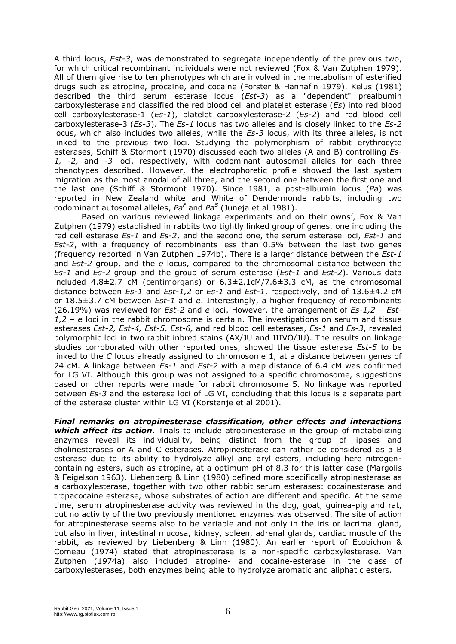A third locus, *Est-3*, was demonstrated to segregate independently of the previous two, for which critical recombinant individuals were not reviewed (Fox & Van Zutphen 1979). All of them give rise to ten phenotypes which are involved in the metabolism of esterified drugs such as atropine, procaine, and cocaine (Forster & Hannafin 1979). Kelus (1981) described the third serum esterase locus (*Est-3*) as a "dependent" prealbumin carboxylesterase and classified the red blood cell and platelet esterase (*Es*) into red blood cell carboxylesterase-1 (*Es-1*), platelet carboxylesterase-2 (*Es-2*) and red blood cell carboxylesterase-3 (*Es-3*). The *Es-1* locus has two alleles and is closely linked to the *Es-2* locus, which also includes two alleles, while the *Es-3* locus, with its three alleles, is not linked to the previous two loci. Studying the polymorphism of rabbit erythrocyte esterases, Schiff & Stormont (1970) discussed each two alleles (A and B) controlling *Es-1, -2,* and *-3* loci, respectively, with codominant autosomal alleles for each three phenotypes described. However, the electrophoretic profile showed the last system migration as the most anodal of all three, and the second one between the first one and the last one (Schiff & Stormont 1970). Since 1981, a post-albumin locus (*Pa*) was reported in New Zealand white and White of Dendermonde rabbits, including two codominant autosomal alleles, *Pa<sup>F</sup>* and *Pa<sup>S</sup>* (Juneja et al 1981).

Based on various reviewed linkage experiments and on their owns', Fox & Van Zutphen (1979) established in rabbits two tightly linked group of genes, one including the red cell esterase *Es-1* and *Es-2*, and the second one, the serum esterase loci, *Est-1* and *Est-2*, with a frequency of recombinants less than 0.5% between the last two genes (frequency reported in Van Zutphen 1974b). There is a larger distance between the *Est-1* and *Est-2* group, and the *e* locus, compared to the chromosomal distance between the *Es-1* and *Es-2* group and the group of serum esterase (*Est-1* and *Est-2*). Various data included  $4.8\pm2.7$  cM (centimorgans) or  $6.3\pm2.1$ cM/7.6 $\pm3.3$  cM, as the chromosomal distance between *Es-1* and *Est-1,2* or *Es-1* and *Est-1*, respectively, and of 13.6±4.2 cM or 18.5±3.7 cM between *Est-1* and *e*. Interestingly, a higher frequency of recombinants (26.19%) was reviewed for *Est-2* and *e* loci. However, the arrangement of *Es-1,2* – *Est-1,2 – e* loci in the rabbit chromosome is certain. The investigations on serum and tissue esterases *Est-2, Est-4, Est-5, Est-6,* and red blood cell esterases, *Es-1* and *Es-3*, revealed polymorphic loci in two rabbit inbred stains (AX/JU and IIIVO/JU). The results on linkage studies corroborated with other reported ones, showed the tissue esterase *Est-5* to be linked to the *C* locus already assigned to chromosome 1, at a distance between genes of 24 cM. A linkage between *Es-1* and *Est-2* with a map distance of 6.4 cM was confirmed for LG VI. Although this group was not assigned to a specific chromosome, suggestions based on other reports were made for rabbit chromosome 5. No linkage was reported between *Es-3* and the esterase loci of LG VI, concluding that this locus is a separate part of the esterase cluster within LG VI (Korstanje et al 2001).

*Final remarks on atropinesterase classification, other effects and interactions which affect its action*. Trials to include atropinesterase in the group of metabolizing enzymes reveal its individuality, being distinct from the group of lipases and cholinesterases or A and C esterases. Atropinesterase can rather be considered as a B esterase due to its ability to hydrolyze alkyl and aryl esters, including here nitrogencontaining esters, such as atropine, at a optimum pH of 8.3 for this latter case (Margolis & Feigelson 1963). Liebenberg & Linn (1980) defined more specifically atropinesterase as a carboxylesterase, together with two other rabbit serum esterases: cocainesterase and tropacocaine esterase, whose substrates of action are different and specific. At the same time, serum atropinesterase activity was reviewed in the dog, goat, guinea-pig and rat, but no activity of the two previously mentioned enzymes was observed. The site of action for atropinesterase seems also to be variable and not only in the iris or lacrimal gland, but also in liver, intestinal mucosa, kidney, spleen, adrenal glands, cardiac muscle of the rabbit, as reviewed by Liebenberg & Linn (1980). An earlier report of Ecobichon & Comeau (1974) stated that atropinesterase is a non-specific carboxylesterase. Van Zutphen (1974a) also included atropine- and cocaine-esterase in the class of carboxylesterases, both enzymes being able to hydrolyze aromatic and aliphatic esters.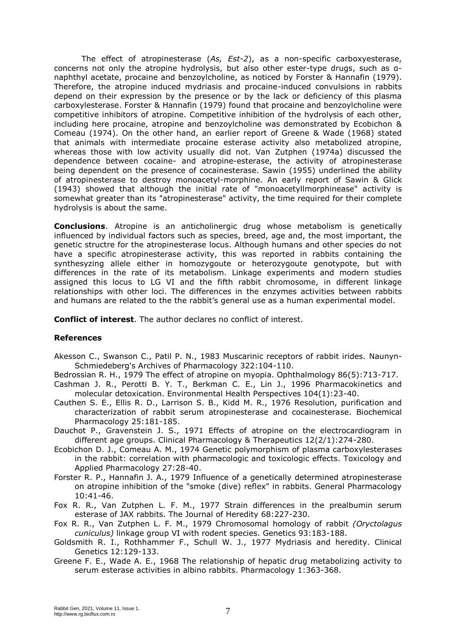The effect of atropinesterase (*As, Est-2*), as a non-specific carboxyesterase, concerns not only the atropine hydrolysis, but also other ester-type drugs, such as αnaphthyl acetate, procaine and benzoylcholine, as noticed by Forster & Hannafin (1979). Therefore, the atropine induced mydriasis and procaine-induced convulsions in rabbits depend on their expression by the presence or by the lack or deficiency of this plasma carboxylesterase. Forster & Hannafin (1979) found that procaine and benzoylcholine were competitive inhibitors of atropine. Competitive inhibition of the hydrolysis of each other, including here procaine, atropine and benzoylcholine was demonstrated by Ecobichon & Comeau (1974). On the other hand, an earlier report of Greene & Wade (1968) stated that animals with intermediate procaine esterase activity also metabolized atropine, whereas those with low activity usually did not. Van Zutphen (1974a) discussed the dependence between cocaine- and atropine-esterase, the activity of atropinesterase being dependent on the presence of cocainesterase. Sawin (1955) underlined the ability of atropinesterase to destroy monoacetyl-morphine. An early report of Sawin & Glick (1943) showed that although the initial rate of "monoacetyllmorphinease" activity is somewhat greater than its "atropinesterase" activity, the time required for their complete hydrolysis is about the same.

**Conclusions**. Atropine is an anticholinergic drug whose metabolism is genetically influenced by individual factors such as species, breed, age and, the most important, the genetic structre for the atropinesterase locus. Although humans and other species do not have a specific atropinesterase activity, this was reported in rabbits containing the synthesyzing allele either in homozygoute or heterozygoute genotypote, but with differences in the rate of its metabolism. Linkage experiments and modern studies assigned this locus to LG VI and the fifth rabbit chromosome, in different linkage relationships with other loci. The differences in the enzymes activities between rabbits and humans are related to the the rabbit's general use as a human experimental model.

**Conflict of interest**. The author declares no conflict of interest.

## **References**

Akesson C., Swanson C., Patil P. N., 1983 Muscarinic receptors of rabbit irides. Naunyn-Schmiedeberg's Archives of Pharmacology 322:104-110.

Bedrossian R. H., 1979 The effect of atropine on myopia. Ophthalmology 86(5):713-717.

- Cashman J. R., Perotti B. Y. T., Berkman C. E., Lin J., 1996 Pharmacokinetics and molecular detoxication. Environmental Health Perspectives 104(1):23-40.
- Cauthen S. E., Ellis R. D., Larrison S. B., Kidd M. R., 1976 Resolution, purification and characterization of rabbit serum atropinesterase and cocainesterase. Biochemical Pharmacology 25:181-185.
- Dauchot P., Gravenstein J. S., 1971 Effects of atropine on the electrocardiogram in different age groups. Clinical Pharmacology & Therapeutics 12(2/1):274-280.
- Ecobichon D. J., Comeau A. M., 1974 Genetic polymorphism of plasma carboxylesterases in the rabbit: correlation with pharmacologic and toxicologic effects. Toxicology and Applied Pharmacology 27:28-40.
- Forster R. P., Hannafin J. A., 1979 Influence of a genetically determined atropinesterase on atropine inhibition of the "smoke (dive) reflex" in rabbits. General Pharmacology 10:41-46.
- Fox R. R., Van Zutphen L. F. M., 1977 Strain differences in the prealbumin serum esterase of JAX rabbits. The Journal of Heredity 68:227-230.
- Fox R. R., Van Zutphen L. F. M., 1979 Chromosomal homology of rabbit *(Oryctolagus cuniculus)* linkage group VI with rodent species. Genetics 93:183-188.
- Goldsmith R. I., Rothhammer F., Schull W. J., 1977 Mydriasis and heredity. Clinical Genetics 12:129-133.
- Greene F. E., Wade A. E., 1968 The relationship of hepatic drug metabolizing activity to serum esterase activities in albino rabbits. Pharmacology 1:363-368.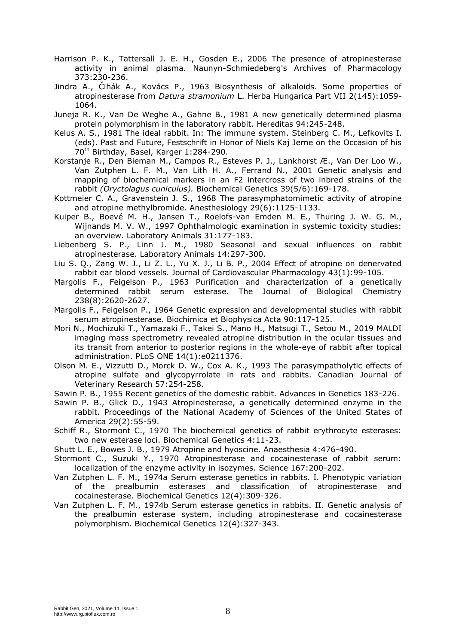- Harrison P. K., Tattersall J. E. H., Gosden E., 2006 The presence of atropinesterase activity in animal plasma. Naunyn-Schmiedeberg's Archives of Pharmacology 373:230-236.
- Jindra A., Čihák A., Kovács P., 1963 Biosynthesis of alkaloids. Some properties of atropinesterase from *Datura stramonium* L. Herba Hungarica Part VII 2(145):1059- 1064.
- Juneja R. K., Van De Weghe A., Gahne B., 1981 A new genetically determined plasma protein polymorphism in the laboratory rabbit. Hereditas 94:245-248.
- Kelus A. S., 1981 The ideal rabbit. In: The immune system. Steinberg C. M., Lefkovits I. (eds). Past and Future, Festschrift in Honor of Niels Kaj Jerne on the Occasion of his 70<sup>th</sup> Birthday, Basel, Karger 1:284-290.
- Korstanje R., Den Bieman M., Campos R., Esteves P. J., Lankhorst Æ., Van Der Loo W., Van Zutphen L. F. M., Van Lith H. A., Ferrand N., 2001 Genetic analysis and mapping of biochemical markers in an F2 intercross of two inbred strains of the rabbit *(Oryctolagus cuniculus).* Biochemical Genetics 39(5/6):169-178.
- Kottmeier C. A., Gravenstein J. S., 1968 The parasymphatomimetic activity of atropine and atropine methylbromide. Anesthesiology 29(6):1125-1133.
- Kuiper B., Boevé M. H., Jansen T., Roelofs-van Emden M. E., Thuring J. W. G. M., Wijnands M. V. W., 1997 Ophthalmologic examination in systemic toxicity studies: an overview. Laboratory Animals 31:177-183.
- Liebenberg S. P., Linn J. M., 1980 Seasonal and sexual influences on rabbit atropinesterase. Laboratory Animals 14:297-300.
- Liu S. Q., Zang W. J., Li Z. L., Yu X. J., Li B. P., 2004 Effect of atropine on denervated rabbit ear blood vessels. Journal of Cardiovascular Pharmacology 43(1):99-105.
- Margolis F., Feigelson P., 1963 Purification and characterization of a genetically determined rabbit serum esterase. The Journal of Biological Chemistry 238(8):2620-2627.
- Margolis F., Feigelson P., 1964 Genetic expression and developmental studies with rabbit serum atropinesterase. Biochimica et Biophysica Acta 90:117-125.
- Mori N., Mochizuki T., Yamazaki F., Takei S., Mano H., Matsugi T., Setou M., 2019 MALDI imaging mass spectrometry revealed atropine distribution in the ocular tissues and its transit from anterior to posterior regions in the whole-eye of rabbit after topical administration. PLoS ONE 14(1):e0211376.
- Olson M. E., Vizzutti D., Morck D. W., Cox A. K., 1993 The parasympatholytic effects of atropine sulfate and glycopyrrolate in rats and rabbits. Canadian Journal of Veterinary Research 57:254-258.
- Sawin P. B., 1955 Recent genetics of the domestic rabbit. Advances in Genetics 183-226.
- Sawin P. B., Glick D., 1943 Atropinesterase, a genetically determined enzyme in the rabbit. Proceedings of the National Academy of Sciences of the United States of America 29(2):55-59.
- Schiff R., Stormont C., 1970 The biochemical genetics of rabbit erythrocyte esterases: two new esterase loci. Biochemical Genetics 4:11-23.
- Shutt L. E., Bowes J. B., 1979 Atropine and hyoscine. Anaesthesia 4:476-490.
- Stormont C., Suzuki Y., 1970 Atropinesterase and cocainesterase of rabbit serum: localization of the enzyme activity in isozymes. Science 167:200-202.
- Van Zutphen L. F. M., 1974a Serum esterase genetics in rabbits. I. Phenotypic variation of the prealbumin esterases and classification of atropinesterase and cocainesterase. Biochemical Genetics 12(4):309-326.
- Van Zutphen L. F. M., 1974b Serum esterase genetics in rabbits. II. Genetic analysis of the prealbumin esterase system, including atropinesterase and cocainesterase polymorphism. Biochemical Genetics 12(4):327-343.